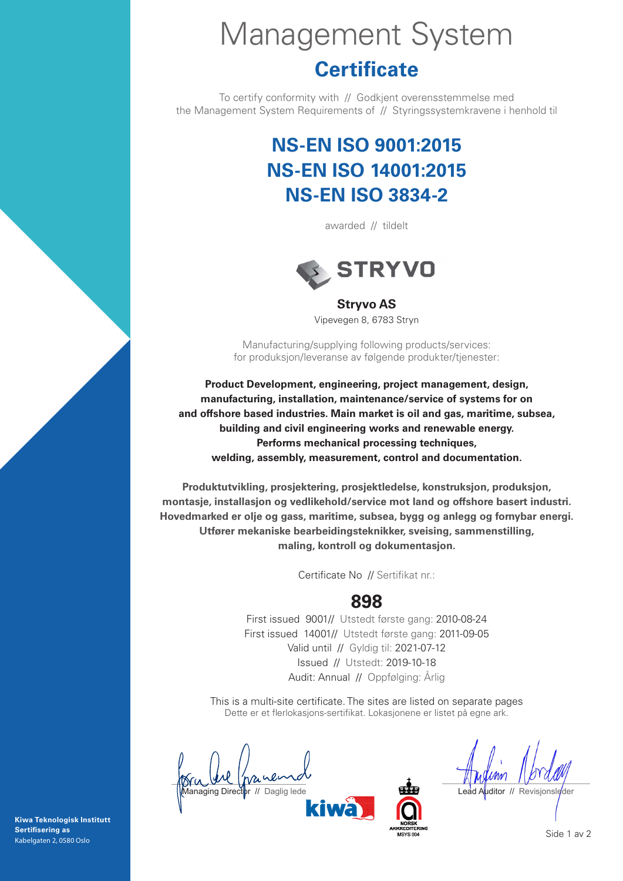# Management System

# **Certificate**

To certify conformity with // Godkjent overensstemmelse med the Management System Requirements of // Styringssystemkravene i henhold til

# **NS-EN ISO 9001:2015 NS-EN ISO 14001:2015 NS-EN ISO 3834-2**

awarded // tildelt



**Stryvo AS** Vipevegen 8, 6783 Stryn

Manufacturing/supplying following products/services: for produksjon/leveranse av følgende produkter/tjenester:

**Product Development, engineering, project management, design, manufacturing, installation, maintenance/service of systems for on and offshore based industries. Main market is oil and gas, maritime, subsea, building and civil engineering works and renewable energy. Performs mechanical processing techniques, welding, assembly, measurement, control and documentation.**

**Produktutvikling, prosjektering, prosjektledelse, konstruksjon, produksjon, montasje, installasjon og vedlikehold/service mot land og offshore basert industri. Hovedmarked er olje og gass, maritime, subsea, bygg og anlegg og fornybar energi. Utfører mekaniske bearbeidingsteknikker, sveising, sammenstilling, maling, kontroll og dokumentasjon.**

Certificate No // Sertifikat nr.:

#### **898**

First issued 9001// Utstedt første gang: 2010-08-24 First issued 14001// Utstedt første gang: 2011-09-05 Valid until // Gyldig til: 2021-07-12 Issued // Utstedt: 2019-10-18 Audit: Annual // Oppfølging: Årlig

This is a multi-site certificate. The sites are listed on separate pages Dette er et flerlokasjons-sertifikat. Lokasjonene er listet på egne ark.

**Managing Director // Daglig leder Lead Auditor // Revisionsleder Lead Auditor // Revisionsleder** 

**Kiwa Teknologisk Institutt Sertifisering as** Kabelgaten 2, 0580 Oslo